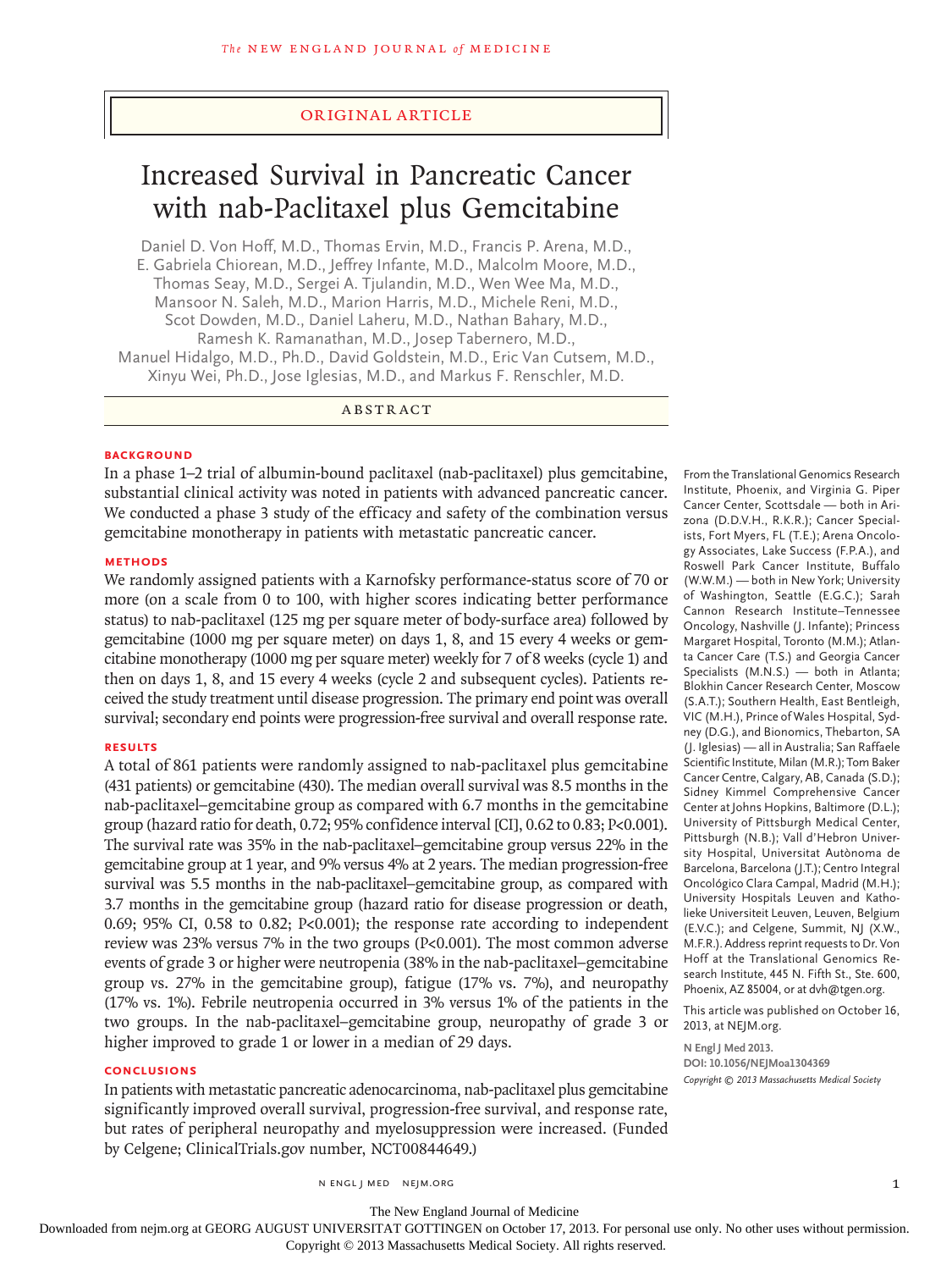# original article

# Increased Survival in Pancreatic Cancer with nab-Paclitaxel plus Gemcitabine

Daniel D. Von Hoff, M.D., Thomas Ervin, M.D., Francis P. Arena, M.D., E. Gabriela Chiorean, M.D., Jeffrey Infante, M.D., Malcolm Moore, M.D., Thomas Seay, M.D., Sergei A. Tjulandin, M.D., Wen Wee Ma, M.D., Mansoor N. Saleh, M.D., Marion Harris, M.D., Michele Reni, M.D., Scot Dowden, M.D., Daniel Laheru, M.D., Nathan Bahary, M.D., Ramesh K. Ramanathan, M.D., Josep Tabernero, M.D., Manuel Hidalgo, M.D., Ph.D., David Goldstein, M.D., Eric Van Cutsem, M.D., Xinyu Wei, Ph.D., Jose Iglesias, M.D., and Markus F. Renschler, M.D.

# ABSTRACT

## **BACKGROUND**

In a phase 1–2 trial of albumin-bound paclitaxel (nab-paclitaxel) plus gemcitabine, substantial clinical activity was noted in patients with advanced pancreatic cancer. We conducted a phase 3 study of the efficacy and safety of the combination versus gemcitabine monotherapy in patients with metastatic pancreatic cancer.

#### **METHODS**

We randomly assigned patients with a Karnofsky performance-status score of 70 or more (on a scale from 0 to 100, with higher scores indicating better performance status) to nab-paclitaxel (125 mg per square meter of body-surface area) followed by gemcitabine (1000 mg per square meter) on days 1, 8, and 15 every 4 weeks or gemcitabine monotherapy (1000 mg per square meter) weekly for 7 of 8 weeks (cycle 1) and then on days 1, 8, and 15 every 4 weeks (cycle 2 and subsequent cycles). Patients received the study treatment until disease progression. The primary end point was overall survival; secondary end points were progression-free survival and overall response rate.

#### **RESULTS**

A total of 861 patients were randomly assigned to nab-paclitaxel plus gemcitabine (431 patients) or gemcitabine (430). The median overall survival was 8.5 months in the nab-paclitaxel–gemcitabine group as compared with 6.7 months in the gemcitabine group (hazard ratio for death, 0.72; 95% confidence interval [CI], 0.62 to 0.83; P<0.001). The survival rate was 35% in the nab-paclitaxel–gemcitabine group versus 22% in the gemcitabine group at 1 year, and 9% versus 4% at 2 years. The median progression-free survival was 5.5 months in the nab-paclitaxel–gemcitabine group, as compared with 3.7 months in the gemcitabine group (hazard ratio for disease progression or death, 0.69; 95% CI, 0.58 to 0.82; P<0.001); the response rate according to independent review was 23% versus 7% in the two groups (P<0.001). The most common adverse events of grade 3 or higher were neutropenia (38% in the nab-paclitaxel–gemcitabine group vs. 27% in the gemcitabine group), fatigue (17% vs. 7%), and neuropathy (17% vs. 1%). Febrile neutropenia occurred in 3% versus 1% of the patients in the two groups. In the nab-paclitaxel–gemcitabine group, neuropathy of grade 3 or higher improved to grade 1 or lower in a median of 29 days.

## **CONCLUSIONS**

In patients with metastatic pancreatic adenocarcinoma, nab-paclitaxel plus gemcitabine significantly improved overall survival, progression-free survival, and response rate, but rates of peripheral neuropathy and myelosuppression were increased. (Funded by Celgene; ClinicalTrials.gov number, NCT00844649.)

From the Translational Genomics Research Institute, Phoenix, and Virginia G. Piper Cancer Center, Scottsdale — both in Arizona (D.D.V.H., R.K.R.); Cancer Specialists, Fort Myers, FL (T.E.); Arena Oncology Associates, Lake Success (F.P.A.), and Roswell Park Cancer Institute, Buffalo (W.W.M.) — both in New York; University of Washington, Seattle (E.G.C.); Sarah Cannon Research Institute–Tennessee Oncology, Nashville (J. Infante); Princess Margaret Hospital, Toronto (M.M.); Atlanta Cancer Care (T.S.) and Georgia Cancer Specialists (M.N.S.) — both in Atlanta; Blokhin Cancer Research Center, Moscow (S.A.T.); Southern Health, East Bentleigh, VIC (M.H.), Prince of Wales Hospital, Sydney (D.G.), and Bionomics, Thebarton, SA (J. Iglesias) — all in Australia; San Raffaele Scientific Institute, Milan (M.R.); Tom Baker Cancer Centre, Calgary, AB, Canada (S.D.); Sidney Kimmel Comprehensive Cancer Center at Johns Hopkins, Baltimore (D.L.); University of Pittsburgh Medical Center, Pittsburgh (N.B.); Vall d'Hebron University Hospital, Universitat Autònoma de Barcelona, Barcelona (J.T.); Centro Integral Oncológico Clara Campal, Madrid (M.H.); University Hospitals Leuven and Katholieke Universiteit Leuven, Leuven, Belgium (E.V.C.); and Celgene, Summit, NJ (X.W., M.F.R.). Address reprint requests to Dr. Von Hoff at the Translational Genomics Research Institute, 445 N. Fifth St., Ste. 600, Phoenix, AZ 85004, or at dvh@tgen.org.

This article was published on October 16, 2013, at NEJM.org.

**N Engl J Med 2013. DOI: 10.1056/NEJMoa1304369** *Copyright © 2013 Massachusetts Medical Society*

n engl j med nejm.org 1

The New England Journal of Medicine

Downloaded from nejm.org at GEORG AUGUST UNIVERSITAT GOTTINGEN on October 17, 2013. For personal use only. No other uses without permission.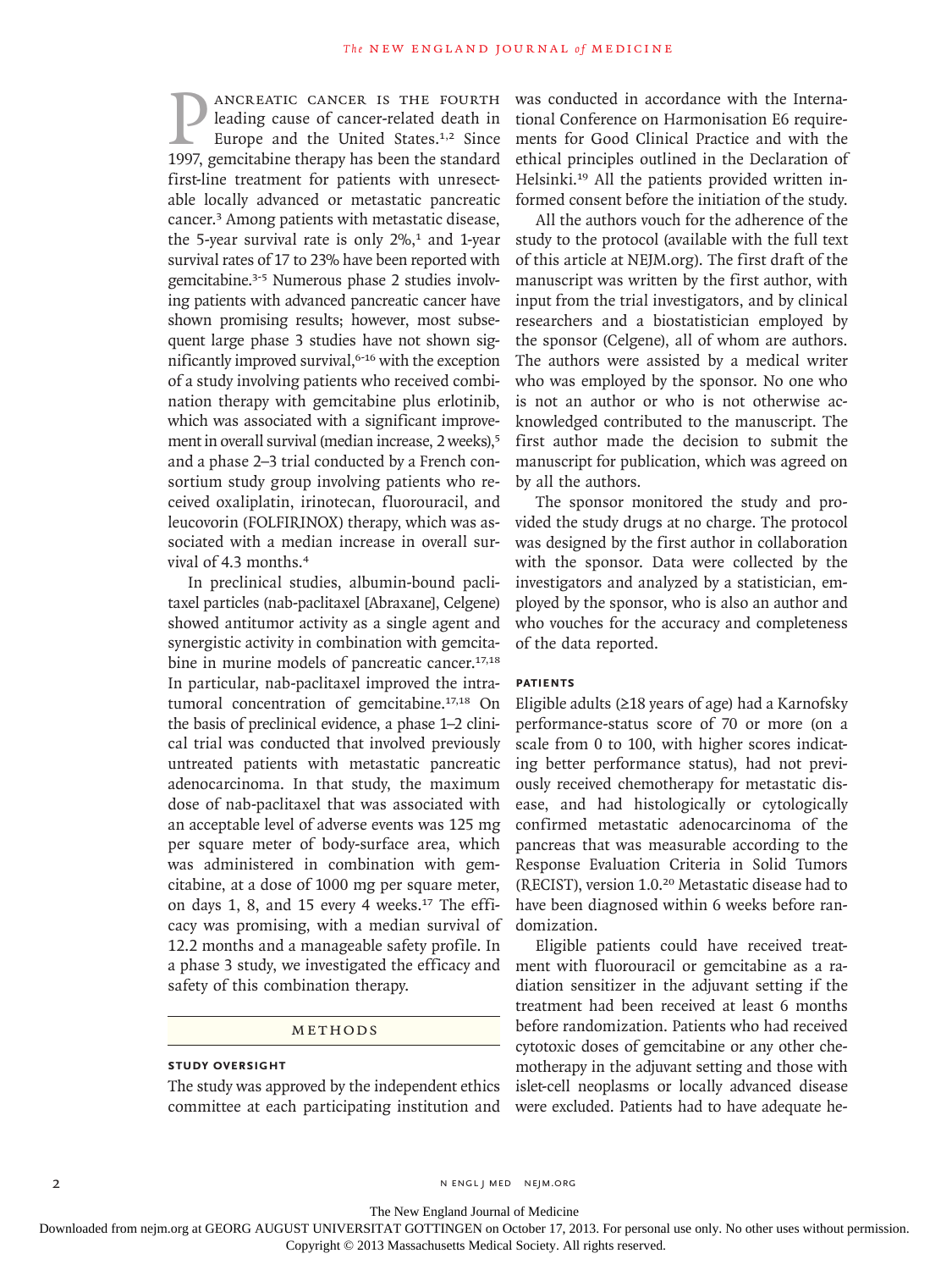**P ANCREATIC CANCER IS THE FOURTH**<br>
leading cause of cancer-related death in<br>
Europe and the United States.<sup>1,2</sup> Since<br>
1997, gemcitabine therapy has been the standard leading cause of cancer-related death in Europe and the United States.<sup>1,2</sup> Since first-line treatment for patients with unresectable locally advanced or metastatic pancreatic cancer.3 Among patients with metastatic disease, the 5-year survival rate is only  $2\%$ ,<sup>1</sup> and 1-year survival rates of 17 to 23% have been reported with gemcitabine.3-5 Numerous phase 2 studies involving patients with advanced pancreatic cancer have shown promising results; however, most subsequent large phase 3 studies have not shown significantly improved survival,<sup>6-16</sup> with the exception of a study involving patients who received combination therapy with gemcitabine plus erlotinib, which was associated with a significant improvement in overall survival (median increase, 2 weeks),<sup>5</sup> and a phase 2–3 trial conducted by a French consortium study group involving patients who received oxaliplatin, irinotecan, fluorouracil, and leucovorin (FOLFIRINOX) therapy, which was associated with a median increase in overall survival of 4.3 months.<sup>4</sup>

In preclinical studies, albumin-bound paclitaxel particles (nab-paclitaxel [Abraxane], Celgene) showed antitumor activity as a single agent and synergistic activity in combination with gemcitabine in murine models of pancreatic cancer.<sup>17,18</sup> In particular, nab-paclitaxel improved the intratumoral concentration of gemcitabine.17,18 On the basis of preclinical evidence, a phase 1–2 clinical trial was conducted that involved previously untreated patients with metastatic pancreatic adenocarcinoma. In that study, the maximum dose of nab-paclitaxel that was associated with an acceptable level of adverse events was 125 mg per square meter of body-surface area, which was administered in combination with gemcitabine, at a dose of 1000 mg per square meter, on days 1, 8, and 15 every 4 weeks.<sup>17</sup> The efficacy was promising, with a median survival of 12.2 months and a manageable safety profile. In a phase 3 study, we investigated the efficacy and safety of this combination therapy.

# METHODS

# **STUDY OVERSIGHT**

The study was approved by the independent ethics committee at each participating institution and was conducted in accordance with the International Conference on Harmonisation E6 requirements for Good Clinical Practice and with the ethical principles outlined in the Declaration of Helsinki.<sup>19</sup> All the patients provided written informed consent before the initiation of the study.

All the authors vouch for the adherence of the study to the protocol (available with the full text of this article at NEJM.org). The first draft of the manuscript was written by the first author, with input from the trial investigators, and by clinical researchers and a biostatistician employed by the sponsor (Celgene), all of whom are authors. The authors were assisted by a medical writer who was employed by the sponsor. No one who is not an author or who is not otherwise acknowledged contributed to the manuscript. The first author made the decision to submit the manuscript for publication, which was agreed on by all the authors.

The sponsor monitored the study and provided the study drugs at no charge. The protocol was designed by the first author in collaboration with the sponsor. Data were collected by the investigators and analyzed by a statistician, employed by the sponsor, who is also an author and who vouches for the accuracy and completeness of the data reported.

## **PATIENTS**

Eligible adults (≥18 years of age) had a Karnofsky performance-status score of 70 or more (on a scale from 0 to 100, with higher scores indicating better performance status), had not previously received chemotherapy for metastatic disease, and had histologically or cytologically confirmed metastatic adenocarcinoma of the pancreas that was measurable according to the Response Evaluation Criteria in Solid Tumors (RECIST), version 1.0.20 Metastatic disease had to have been diagnosed within 6 weeks before randomization.

Eligible patients could have received treatment with fluorouracil or gemcitabine as a radiation sensitizer in the adjuvant setting if the treatment had been received at least 6 months before randomization. Patients who had received cytotoxic doses of gemcitabine or any other chemotherapy in the adjuvant setting and those with islet-cell neoplasms or locally advanced disease were excluded. Patients had to have adequate he-

2 N ENGL J MED NEJM.ORG

The New England Journal of Medicine

Downloaded from nejm.org at GEORG AUGUST UNIVERSITAT GOTTINGEN on October 17, 2013. For personal use only. No other uses without permission.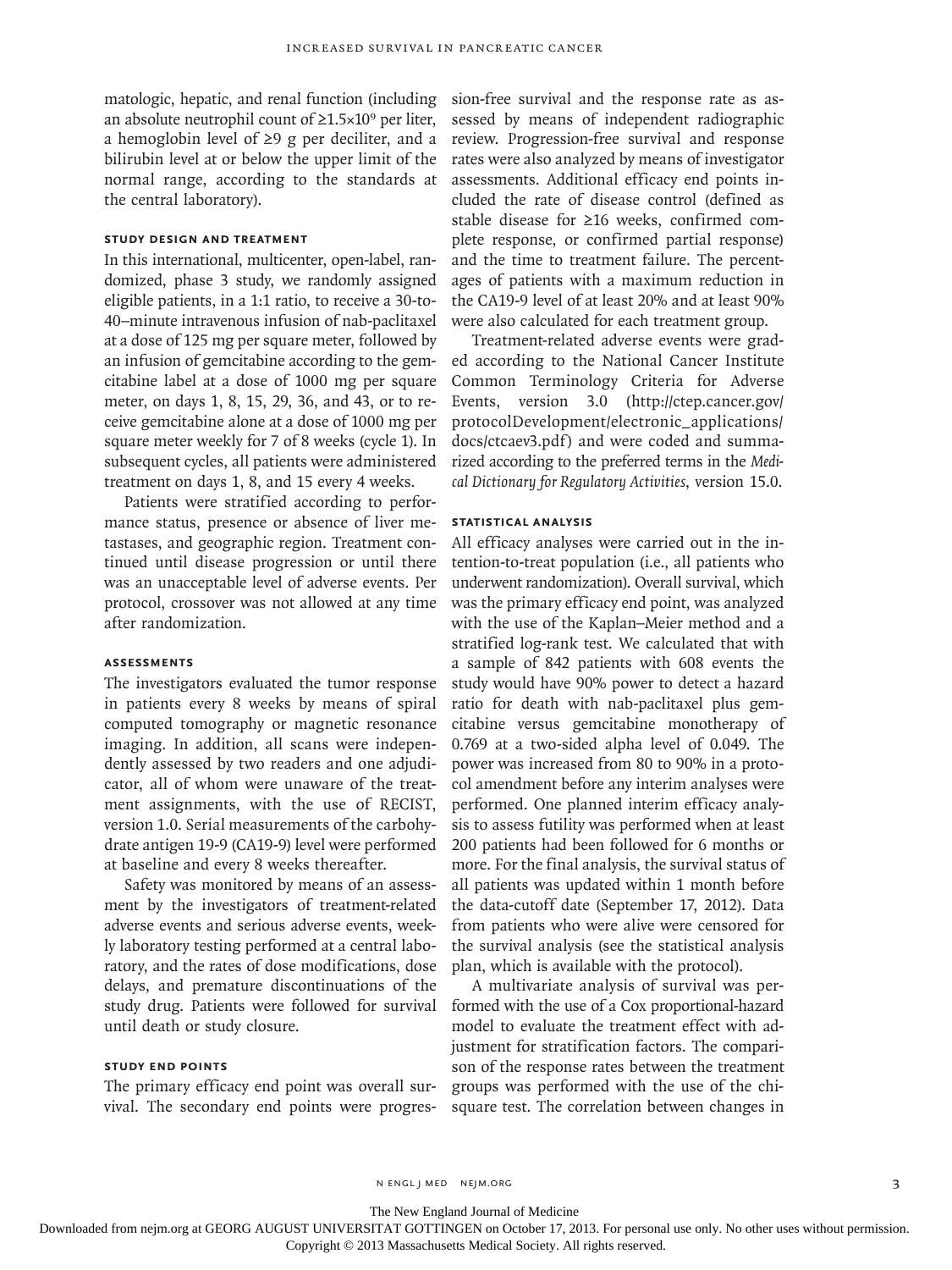matologic, hepatic, and renal function (including an absolute neutrophil count of  $\geq 1.5 \times 10^9$  per liter, a hemoglobin level of ≥9 g per deciliter, and a bilirubin level at or below the upper limit of the normal range, according to the standards at the central laboratory).

# **STUDY DESIGN AND TREATMENT**

In this international, multicenter, open-label, randomized, phase 3 study, we randomly assigned eligible patients, in a 1:1 ratio, to receive a 30-to-40–minute intravenous infusion of nab-paclitaxel at a dose of 125 mg per square meter, followed by an infusion of gemcitabine according to the gemcitabine label at a dose of 1000 mg per square meter, on days 1, 8, 15, 29, 36, and 43, or to receive gemcitabine alone at a dose of 1000 mg per square meter weekly for 7 of 8 weeks (cycle 1). In subsequent cycles, all patients were administered treatment on days 1, 8, and 15 every 4 weeks.

Patients were stratified according to performance status, presence or absence of liver metastases, and geographic region. Treatment continued until disease progression or until there was an unacceptable level of adverse events. Per protocol, crossover was not allowed at any time after randomization.

# **ASSESSMENTS**

The investigators evaluated the tumor response in patients every 8 weeks by means of spiral computed tomography or magnetic resonance imaging. In addition, all scans were independently assessed by two readers and one adjudicator, all of whom were unaware of the treatment assignments, with the use of RECIST, version 1.0. Serial measurements of the carbohydrate antigen 19-9 (CA19-9) level were performed at baseline and every 8 weeks thereafter.

Safety was monitored by means of an assessment by the investigators of treatment-related adverse events and serious adverse events, weekly laboratory testing performed at a central laboratory, and the rates of dose modifications, dose delays, and premature discontinuations of the study drug. Patients were followed for survival until death or study closure.

# **STUDY END POINTS**

The primary efficacy end point was overall survival. The secondary end points were progression-free survival and the response rate as assessed by means of independent radiographic review. Progression-free survival and response rates were also analyzed by means of investigator assessments. Additional efficacy end points included the rate of disease control (defined as stable disease for ≥16 weeks, confirmed complete response, or confirmed partial response) and the time to treatment failure. The percentages of patients with a maximum reduction in the CA19-9 level of at least 20% and at least 90% were also calculated for each treatment group.

Treatment-related adverse events were graded according to the National Cancer Institute Common Terminology Criteria for Adverse Events, version 3.0 (http://ctep.cancer.gov/ protocolDevelopment/electronic\_applications/ docs/ctcaev3.pdf) and were coded and summarized according to the preferred terms in the *Medical Dictionary for Regulatory Activities*, version 15.0.

## **STATISTICAL ANALYSIS**

All efficacy analyses were carried out in the intention-to-treat population (i.e., all patients who underwent randomization). Overall survival, which was the primary efficacy end point, was analyzed with the use of the Kaplan–Meier method and a stratified log-rank test. We calculated that with a sample of 842 patients with 608 events the study would have 90% power to detect a hazard ratio for death with nab-paclitaxel plus gemcitabine versus gemcitabine monotherapy of 0.769 at a two-sided alpha level of 0.049. The power was increased from 80 to 90% in a protocol amendment before any interim analyses were performed. One planned interim efficacy analysis to assess futility was performed when at least 200 patients had been followed for 6 months or more. For the final analysis, the survival status of all patients was updated within 1 month before the data-cutoff date (September 17, 2012). Data from patients who were alive were censored for the survival analysis (see the statistical analysis plan, which is available with the protocol).

A multivariate analysis of survival was performed with the use of a Cox proportional-hazard model to evaluate the treatment effect with adjustment for stratification factors. The comparison of the response rates between the treatment groups was performed with the use of the chisquare test. The correlation between changes in

n engl j med nejm.org 3

The New England Journal of Medicine

Downloaded from nejm.org at GEORG AUGUST UNIVERSITAT GOTTINGEN on October 17, 2013. For personal use only. No other uses without permission.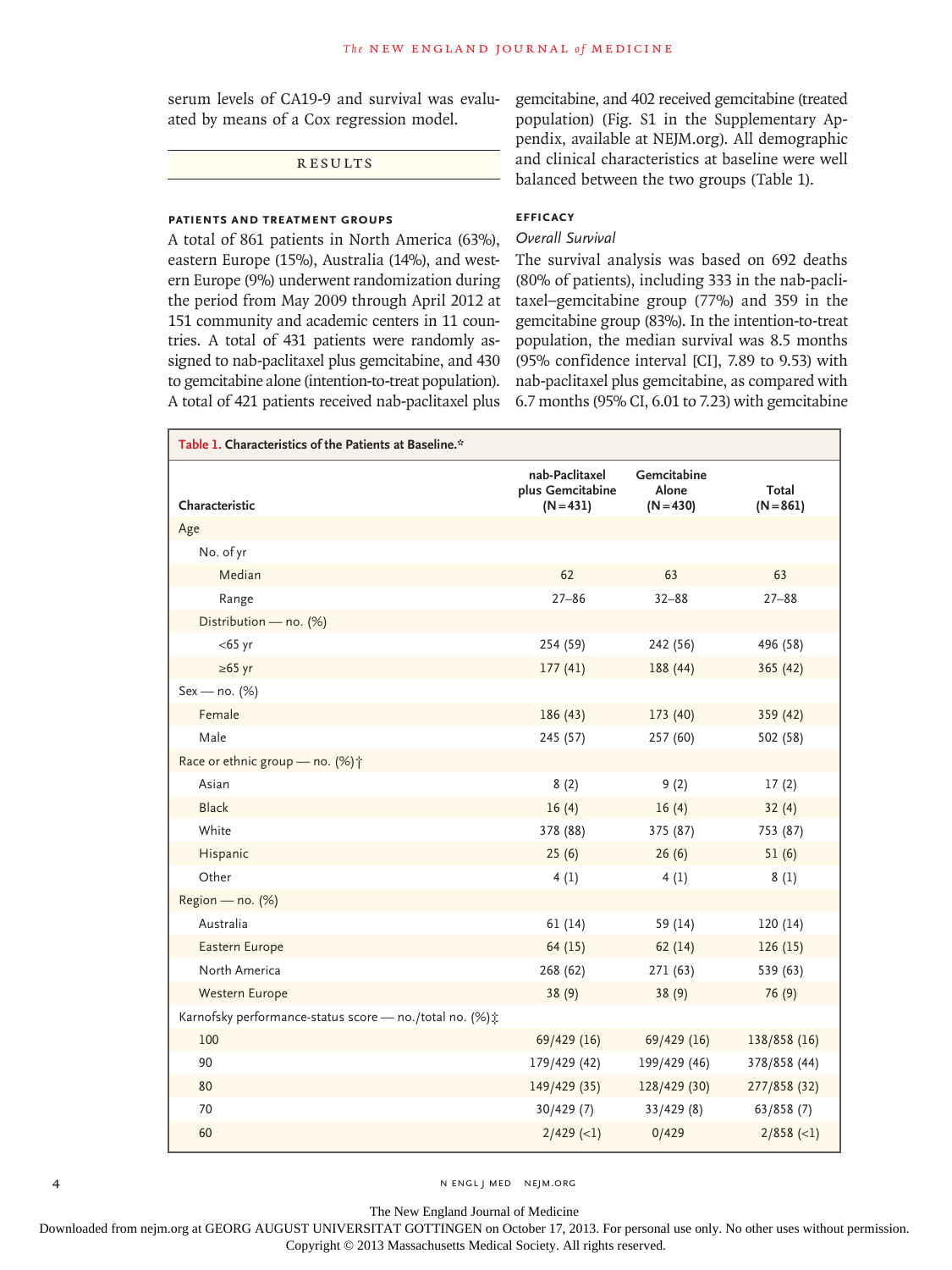serum levels of CA19-9 and survival was evaluated by means of a Cox regression model.

RESULTS

# **PATIENTS and treatment groups**

A total of 861 patients in North America (63%), eastern Europe (15%), Australia (14%), and western Europe (9%) underwent randomization during the period from May 2009 through April 2012 at 151 community and academic centers in 11 countries. A total of 431 patients were randomly assigned to nab-paclitaxel plus gemcitabine, and 430 to gemcitabine alone (intention-to-treat population). A total of 421 patients received nab-paclitaxel plus

gemcitabine, and 402 received gemcitabine (treated population) (Fig. S1 in the Supplementary Appendix, available at NEJM.org). All demographic and clinical characteristics at baseline were well balanced between the two groups (Table 1).

# **EFFICACY**

# *Overall Survival*

The survival analysis was based on 692 deaths (80% of patients), including 333 in the nab-paclitaxel–gemcitabine group (77%) and 359 in the gemcitabine group (83%). In the intention-to-treat population, the median survival was 8.5 months (95% confidence interval [CI], 7.89 to 9.53) with nab-paclitaxel plus gemcitabine, as compared with 6.7 months (95% CI, 6.01 to 7.23) with gemcitabine

| Table 1. Characteristics of the Patients at Baseline.*   |                                                   |                                     |                      |  |
|----------------------------------------------------------|---------------------------------------------------|-------------------------------------|----------------------|--|
| Characteristic                                           | nab-Paclitaxel<br>plus Gemcitabine<br>$(N = 431)$ | Gemcitabine<br>Alone<br>$(N = 430)$ | Total<br>$(N = 861)$ |  |
| Age                                                      |                                                   |                                     |                      |  |
| No. of yr                                                |                                                   |                                     |                      |  |
| Median                                                   | 62                                                | 63                                  | 63                   |  |
| Range                                                    | $27 - 86$                                         | $32 - 88$                           | $27 - 88$            |  |
| Distribution - no. (%)                                   |                                                   |                                     |                      |  |
| $<$ 65 yr                                                | 254 (59)                                          | 242 (56)                            | 496 (58)             |  |
| $\geq 65$ yr                                             | 177(41)                                           | 188 (44)                            | 365(42)              |  |
| $Sex - no. (%)$                                          |                                                   |                                     |                      |  |
| Female                                                   | 186 (43)                                          | 173 (40)                            | 359 (42)             |  |
| Male                                                     | 245 (57)                                          | 257 (60)                            | 502 (58)             |  |
| Race or ethnic group - no. (%) <sup>+</sup>              |                                                   |                                     |                      |  |
| Asian                                                    | 8(2)                                              | 9(2)                                | 17(2)                |  |
| <b>Black</b>                                             | 16(4)                                             | 16(4)                               | 32(4)                |  |
| White                                                    | 378 (88)                                          | 375 (87)                            | 753 (87)             |  |
| Hispanic                                                 | 25(6)                                             | 26(6)                               | 51(6)                |  |
| Other                                                    | 4(1)                                              | 4(1)                                | 8(1)                 |  |
| Region - no. (%)                                         |                                                   |                                     |                      |  |
| Australia                                                | 61(14)                                            | 59 (14)                             | 120(14)              |  |
| Eastern Europe                                           | 64(15)                                            | 62(14)                              | 126(15)              |  |
| North America                                            | 268 (62)                                          | 271 (63)                            | 539 (63)             |  |
| Western Europe                                           | 38(9)                                             | 38(9)                               | 76(9)                |  |
| Karnofsky performance-status score - no./total no. (%) ± |                                                   |                                     |                      |  |
| 100                                                      | 69/429 (16)                                       | 69/429 (16)                         | 138/858 (16)         |  |
| 90                                                       | 179/429 (42)                                      | 199/429 (46)                        | 378/858 (44)         |  |
| 80                                                       | 149/429 (35)                                      | 128/429 (30)                        | 277/858 (32)         |  |
| 70                                                       | 30/429(7)                                         | 33/429(8)                           | 63/858(7)            |  |
| 60                                                       | $2/429$ (<1)                                      | 0/429                               | $2/858$ (<1)         |  |

4 N ENGL J MED NEJM.ORG

The New England Journal of Medicine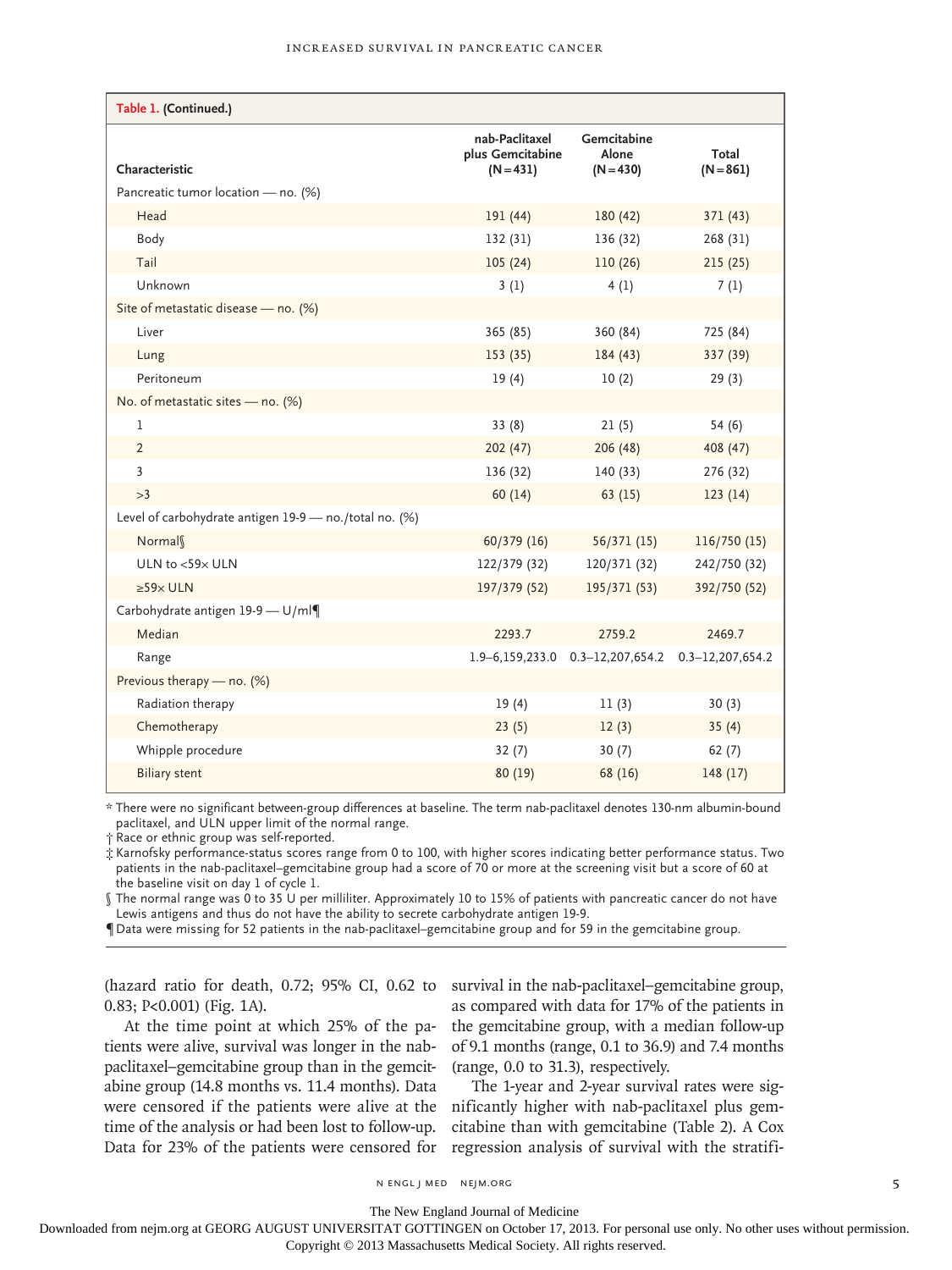| Table 1. (Continued.)                                  |                                                   |                                          |                      |  |
|--------------------------------------------------------|---------------------------------------------------|------------------------------------------|----------------------|--|
| Characteristic                                         | nab-Paclitaxel<br>plus Gemcitabine<br>$(N = 431)$ | Gemcitabine<br>Alone<br>$(N = 430)$      | Total<br>$(N = 861)$ |  |
| Pancreatic tumor location - no. (%)                    |                                                   |                                          |                      |  |
| Head                                                   | 191 (44)                                          | 180 (42)                                 | 371 (43)             |  |
| Body                                                   | 132(31)                                           | 136 (32)                                 | 268 (31)             |  |
| Tail                                                   | 105(24)                                           | 110(26)                                  | 215(25)              |  |
| Unknown                                                | 3(1)                                              | 4(1)                                     | 7(1)                 |  |
| Site of metastatic disease - no. (%)                   |                                                   |                                          |                      |  |
| Liver                                                  | 365 (85)                                          | 360 (84)                                 | 725 (84)             |  |
| Lung                                                   | 153 (35)                                          | 184(43)                                  | 337 (39)             |  |
| Peritoneum                                             | 19(4)                                             | 10(2)                                    | 29(3)                |  |
| No. of metastatic sites - no. (%)                      |                                                   |                                          |                      |  |
| 1                                                      | 33(8)                                             | 21(5)                                    | 54(6)                |  |
| $\overline{2}$                                         | 202 (47)                                          | 206 (48)                                 | 408 (47)             |  |
| $\overline{3}$                                         | 136 (32)                                          | 140(33)                                  | 276 (32)             |  |
| >3                                                     | 60(14)                                            | 63(15)                                   | 123(14)              |  |
| Level of carbohydrate antigen 19-9 - no./total no. (%) |                                                   |                                          |                      |  |
| Normal                                                 | 60/379 (16)                                       | 56/371(15)                               | 116/750 (15)         |  |
| ULN to <59x ULN                                        | 122/379 (32)                                      | 120/371 (32)                             | 242/750 (32)         |  |
| $\geq 59 \times$ ULN                                   | 197/379 (52)                                      | 195/371 (53)                             | 392/750 (52)         |  |
| Carbohydrate antigen 19-9 - U/ml¶                      |                                                   |                                          |                      |  |
| Median                                                 | 2293.7                                            | 2759.2                                   | 2469.7               |  |
| Range                                                  |                                                   | $1.9 - 6, 159, 233.0$ 0.3-12, 207, 654.2 | $0.3 - 12,207,654.2$ |  |
| Previous therapy - no. (%)                             |                                                   |                                          |                      |  |
| Radiation therapy                                      | 19(4)                                             | 11(3)                                    | 30(3)                |  |
| Chemotherapy                                           | 23(5)                                             | 12(3)                                    | 35(4)                |  |
| Whipple procedure                                      | 32(7)                                             | 30(7)                                    | 62(7)                |  |
| <b>Biliary stent</b>                                   | 80 (19)                                           | 68 (16)                                  | 148(17)              |  |

\* There were no significant between-group differences at baseline. The term nab-paclitaxel denotes 130-nm albumin-bound paclitaxel, and ULN upper limit of the normal range.

† Race or ethnic group was self-reported.

‡ Karnofsky performance-status scores range from 0 to 100, with higher scores indicating better performance status. Two patients in the nab-paclitaxel–gemcitabine group had a score of 70 or more at the screening visit but a score of 60 at the baseline visit on day 1 of cycle 1.

§ The normal range was 0 to 35 U per milliliter. Approximately 10 to 15% of patients with pancreatic cancer do not have Lewis antigens and thus do not have the ability to secrete carbohydrate antigen 19-9.

¶Data were missing for 52 patients in the nab-paclitaxel–gemcitabine group and for 59 in the gemcitabine group.

(hazard ratio for death, 0.72; 95% CI, 0.62 to 0.83; P<0.001) (Fig. 1A).

At the time point at which 25% of the patients were alive, survival was longer in the nabpaclitaxel–gemcitabine group than in the gemcitabine group (14.8 months vs. 11.4 months). Data time of the analysis or had been lost to follow-up. survival in the nab-paclitaxel–gemcitabine group, as compared with data for 17% of the patients in the gemcitabine group, with a median follow-up of 9.1 months (range, 0.1 to 36.9) and 7.4 months (range, 0.0 to 31.3), respectively.

were censored if the patients were alive at the nificantly higher with nab-paclitaxel plus gem-Data for 23% of the patients were censored for regression analysis of survival with the stratifi-The 1-year and 2-year survival rates were sigcitabine than with gemcitabine (Table 2). A Cox

n engl j med nejm.org 5

The New England Journal of Medicine

Downloaded from nejm.org at GEORG AUGUST UNIVERSITAT GOTTINGEN on October 17, 2013. For personal use only. No other uses without permission.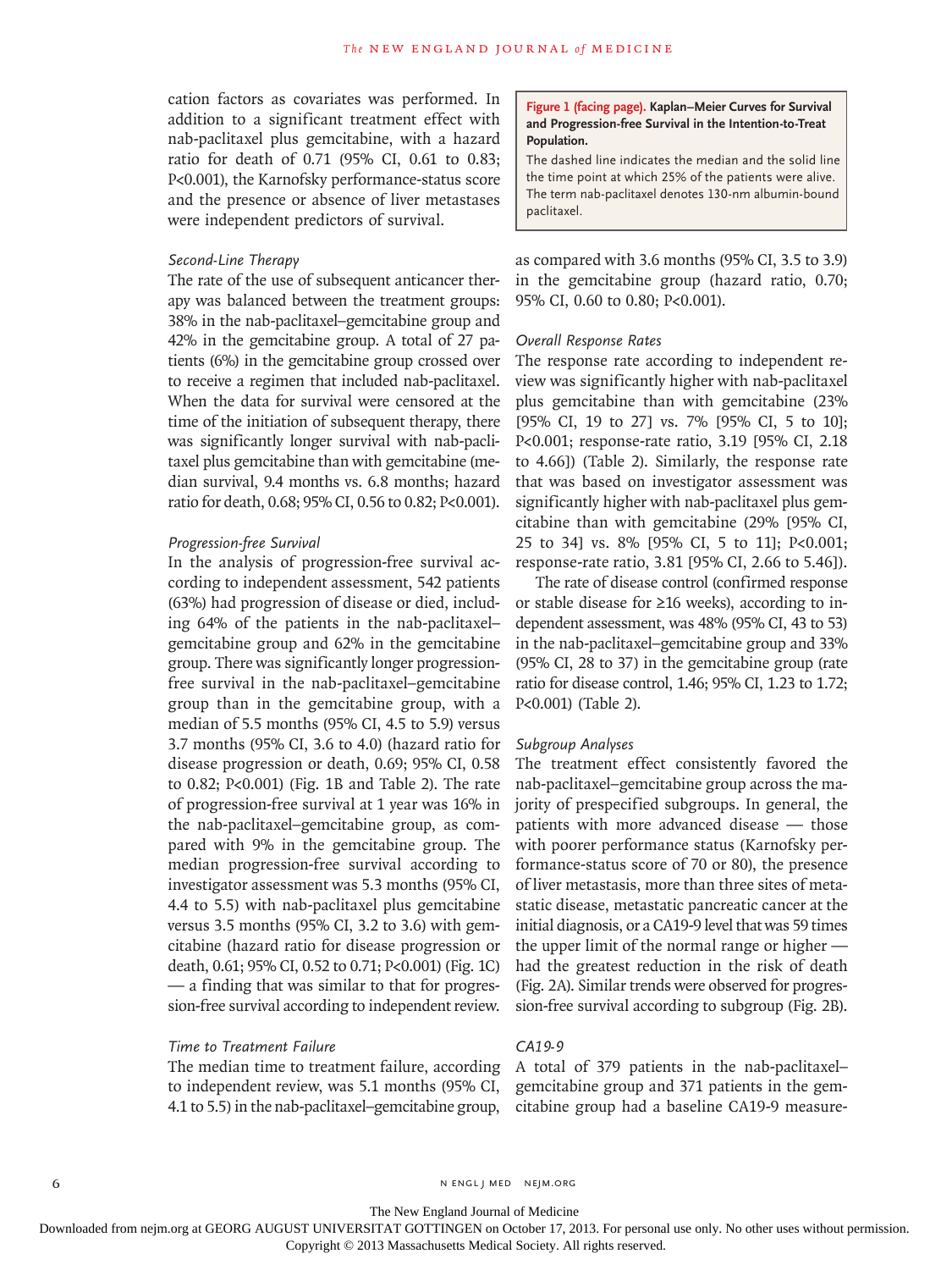cation factors as covariates was performed. In addition to a significant treatment effect with nab-paclitaxel plus gemcitabine, with a hazard ratio for death of 0.71 (95% CI, 0.61 to 0.83; P<0.001), the Karnofsky performance-status score and the presence or absence of liver metastases were independent predictors of survival.

# *Second-Line Therapy*

The rate of the use of subsequent anticancer therapy was balanced between the treatment groups: 38% in the nab-paclitaxel–gemcitabine group and 42% in the gemcitabine group. A total of 27 patients (6%) in the gemcitabine group crossed over to receive a regimen that included nab-paclitaxel. When the data for survival were censored at the time of the initiation of subsequent therapy, there was significantly longer survival with nab-paclitaxel plus gemcitabine than with gemcitabine (median survival, 9.4 months vs. 6.8 months; hazard ratio for death, 0.68; 95% CI, 0.56 to 0.82; P<0.001).

# *Progression-free Survival*

In the analysis of progression-free survival according to independent assessment, 542 patients (63%) had progression of disease or died, including 64% of the patients in the nab-paclitaxel– gemcitabine group and 62% in the gemcitabine group. There was significantly longer progressionfree survival in the nab-paclitaxel–gemcitabine group than in the gemcitabine group, with a median of 5.5 months (95% CI, 4.5 to 5.9) versus 3.7 months (95% CI, 3.6 to 4.0) (hazard ratio for disease progression or death, 0.69; 95% CI, 0.58 to 0.82; P<0.001) (Fig. 1B and Table 2). The rate of progression-free survival at 1 year was 16% in the nab-paclitaxel–gemcitabine group, as compared with 9% in the gemcitabine group. The median progression-free survival according to investigator assessment was 5.3 months (95% CI, 4.4 to 5.5) with nab-paclitaxel plus gemcitabine versus 3.5 months (95% CI, 3.2 to 3.6) with gemcitabine (hazard ratio for disease progression or death, 0.61; 95% CI, 0.52 to 0.71; P<0.001) (Fig. 1C) — a finding that was similar to that for progression-free survival according to independent review.

## *Time to Treatment Failure*

The median time to treatment failure, according to independent review, was 5.1 months (95% CI, 4.1 to 5.5) in the nab-paclitaxel–gemcitabine group,

**Figure 1 (facing page). Kaplan–Meier Curves for Survival and Progression-free Survival in the Intention-to-Treat Population.**

The dashed line indicates the median and the solid line the time point at which 25% of the patients were alive. The term nab*-*paclitaxel denotes 130-nm albumin-bound paclitaxel.

as compared with 3.6 months (95% CI, 3.5 to 3.9) in the gemcitabine group (hazard ratio, 0.70; 95% CI, 0.60 to 0.80; P<0.001).

### *Overall Response Rates*

The response rate according to independent review was significantly higher with nab-paclitaxel plus gemcitabine than with gemcitabine (23% [95% CI, 19 to 27] vs. 7% [95% CI, 5 to 10]; P<0.001; response-rate ratio, 3.19 [95% CI, 2.18 to 4.66]) (Table 2). Similarly, the response rate that was based on investigator assessment was significantly higher with nab-paclitaxel plus gemcitabine than with gemcitabine (29% [95% CI, 25 to 34] vs. 8% [95% CI, 5 to 11]; P<0.001; response-rate ratio, 3.81 [95% CI, 2.66 to 5.46]).

The rate of disease control (confirmed response or stable disease for ≥16 weeks), according to independent assessment, was 48% (95% CI, 43 to 53) in the nab-paclitaxel–gemcitabine group and 33% (95% CI, 28 to 37) in the gemcitabine group (rate ratio for disease control, 1.46; 95% CI, 1.23 to 1.72; P<0.001) (Table 2).

### *Subgroup Analyses*

The treatment effect consistently favored the nab-paclitaxel–gemcitabine group across the majority of prespecified subgroups. In general, the patients with more advanced disease — those with poorer performance status (Karnofsky performance-status score of 70 or 80), the presence of liver metastasis, more than three sites of metastatic disease, metastatic pancreatic cancer at the initial diagnosis, or a CA19-9 level that was 59 times the upper limit of the normal range or higher had the greatest reduction in the risk of death (Fig. 2A). Similar trends were observed for progression-free survival according to subgroup (Fig. 2B).

# *CA19-9*

A total of 379 patients in the nab-paclitaxel– gemcitabine group and 371 patients in the gemcitabine group had a baseline CA19-9 measure-

6 N ENGL J MED NEJM.ORG

The New England Journal of Medicine

Downloaded from nejm.org at GEORG AUGUST UNIVERSITAT GOTTINGEN on October 17, 2013. For personal use only. No other uses without permission.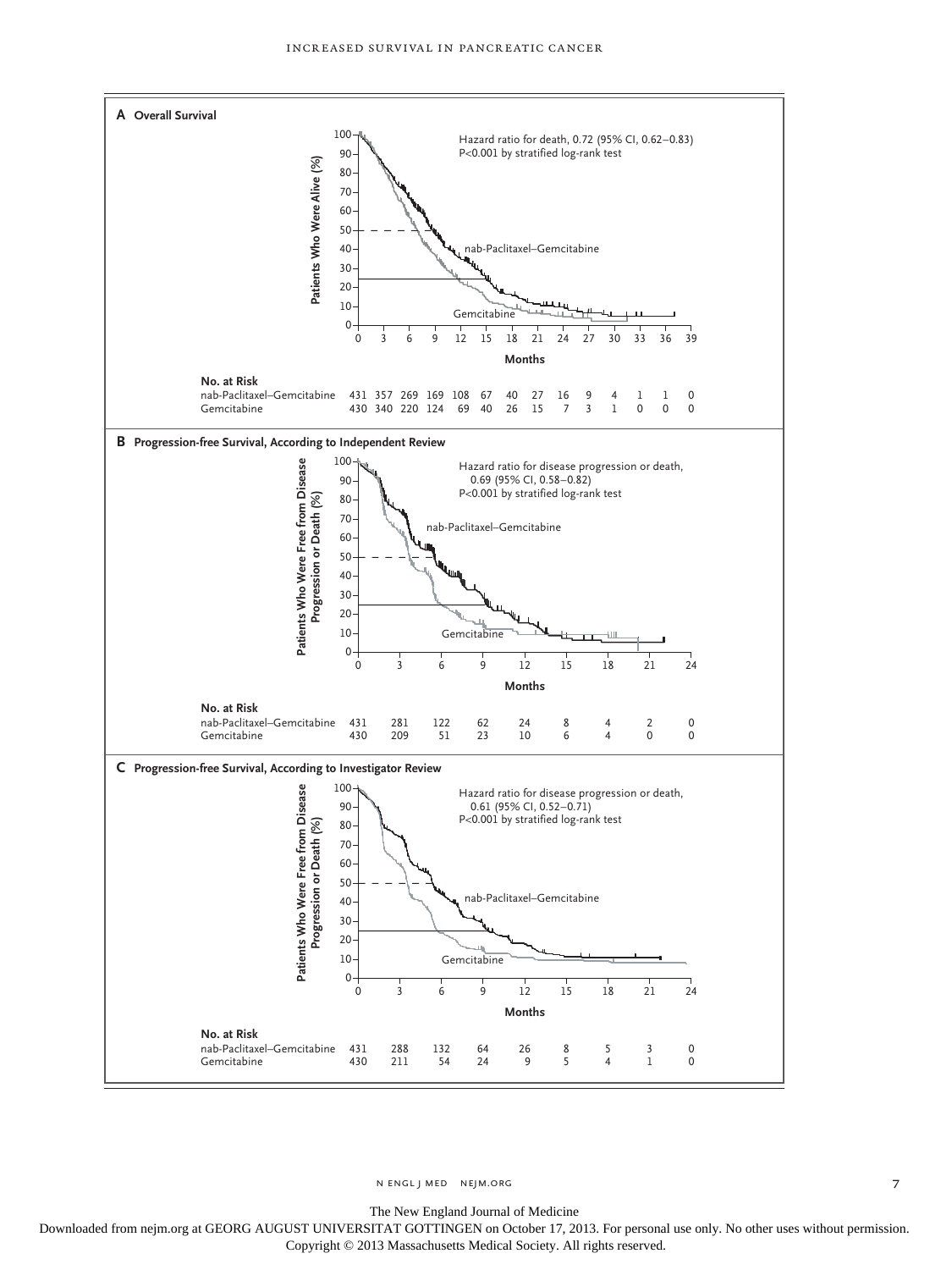

n engl j med nejm.org 7

The New England Journal of Medicine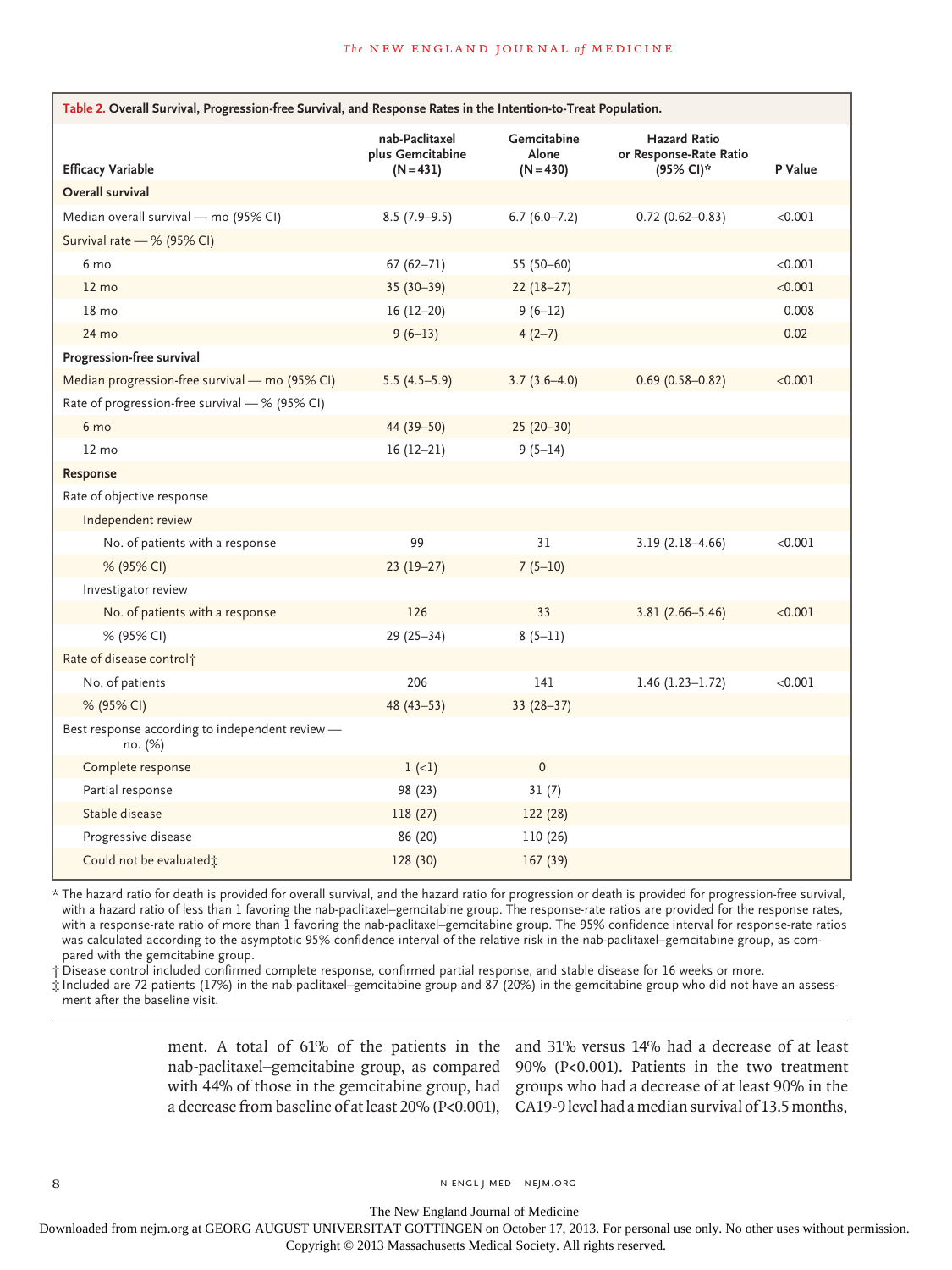| Table 2. Overall Survival, Progression-free Survival, and Response Rates in the Intention-to-Treat Population. |                                    |                                     |                                                            |                  |
|----------------------------------------------------------------------------------------------------------------|------------------------------------|-------------------------------------|------------------------------------------------------------|------------------|
| <b>Efficacy Variable</b>                                                                                       | nab-Paclitaxel<br>plus Gemcitabine | Gemcitabine<br>Alone<br>$(N = 430)$ | <b>Hazard Ratio</b><br>or Response-Rate Ratio<br>(95% CI)* | P Value          |
| <b>Overall survival</b>                                                                                        | $(N = 431)$                        |                                     |                                                            |                  |
|                                                                                                                |                                    |                                     |                                                            |                  |
| Median overall survival - mo (95% CI)                                                                          | $8.5(7.9-9.5)$                     | $6.7(6.0 - 7.2)$                    | $0.72(0.62 - 0.83)$                                        | < 0.001          |
| Survival rate - % (95% CI)                                                                                     |                                    |                                     |                                                            |                  |
| 6 mo                                                                                                           | $67(62 - 71)$                      | 55 (50-60)                          |                                                            | < 0.001          |
| $12 \text{ mo}$<br>$18 \text{ mo}$                                                                             | $35(30-39)$                        | $22(18-27)$                         |                                                            | < 0.001<br>0.008 |
|                                                                                                                | $16(12-20)$                        | $9(6-12)$                           |                                                            |                  |
| 24 mo                                                                                                          | $9(6-13)$                          | $4(2-7)$                            |                                                            | 0.02             |
| Progression-free survival                                                                                      |                                    |                                     |                                                            |                  |
| Median progression-free survival - mo (95% CI)                                                                 | $5.5(4.5-5.9)$                     | $3.7(3.6-4.0)$                      | $0.69(0.58 - 0.82)$                                        | < 0.001          |
| Rate of progression-free survival - % (95% CI)                                                                 |                                    |                                     |                                                            |                  |
| 6 mo                                                                                                           | 44 (39-50)                         | $25(20-30)$                         |                                                            |                  |
| $12 \text{ mo}$                                                                                                | $16(12-21)$                        | $9(5-14)$                           |                                                            |                  |
| Response                                                                                                       |                                    |                                     |                                                            |                  |
| Rate of objective response                                                                                     |                                    |                                     |                                                            |                  |
| Independent review                                                                                             |                                    |                                     |                                                            |                  |
| No. of patients with a response                                                                                | 99                                 | 31                                  | $3.19(2.18 - 4.66)$                                        | < 0.001          |
| % (95% CI)                                                                                                     | $23(19-27)$                        | $7(5-10)$                           |                                                            |                  |
| Investigator review                                                                                            |                                    |                                     |                                                            |                  |
| No. of patients with a response                                                                                | 126                                | 33                                  | $3.81(2.66 - 5.46)$                                        | < 0.001          |
| % (95% CI)                                                                                                     | $29(25-34)$                        | $8(5-11)$                           |                                                            |                  |
| Rate of disease control <sup>+</sup>                                                                           |                                    |                                     |                                                            |                  |
| No. of patients                                                                                                | 206                                | 141                                 | $1.46(1.23 - 1.72)$                                        | < 0.001          |
| % (95% CI)                                                                                                     | $48(43 - 53)$                      | $33(28-37)$                         |                                                            |                  |
| Best response according to independent review -<br>no. (%)                                                     |                                    |                                     |                                                            |                  |
| Complete response                                                                                              | $1 (-1)$                           | $\mathbf{0}$                        |                                                            |                  |
| Partial response                                                                                               | 98 (23)                            | 31(7)                               |                                                            |                  |
| Stable disease                                                                                                 | 118 (27)                           | 122 (28)                            |                                                            |                  |
| Progressive disease                                                                                            | 86 (20)                            | 110 (26)                            |                                                            |                  |
| Could not be evaluated;                                                                                        | 128 (30)                           | 167(39)                             |                                                            |                  |

\* The hazard ratio for death is provided for overall survival, and the hazard ratio for progression or death is provided for progression-free survival, with a hazard ratio of less than 1 favoring the nab-paclitaxel–gemcitabine group. The response-rate ratios are provided for the response rates, with a response-rate ratio of more than 1 favoring the nab-paclitaxel–gemcitabine group. The 95% confidence interval for response-rate ratios was calculated according to the asymptotic 95% confidence interval of the relative risk in the nab-paclitaxel–gemcitabine group, as compared with the gemcitabine group.

† Disease control included confirmed complete response, confirmed partial response, and stable disease for 16 weeks or more.

‡ Included are 72 patients (17%) in the nab-paclitaxel–gemcitabine group and 87 (20%) in the gemcitabine group who did not have an assess ment after the baseline visit.

a decrease from baseline of at least 20% (P<0.001), CA19-9 level had a median survival of 13.5months,

ment. A total of 61% of the patients in the and 31% versus 14% had a decrease of at least nab*-*paclitaxel–gemcitabine group, as compared 90% (P<0.001). Patients in the two treatment with 44% of those in the gemcitabine group, had groups who had a decrease of at least 90% in the

8 N ENGL J MED NEJM.ORG

The New England Journal of Medicine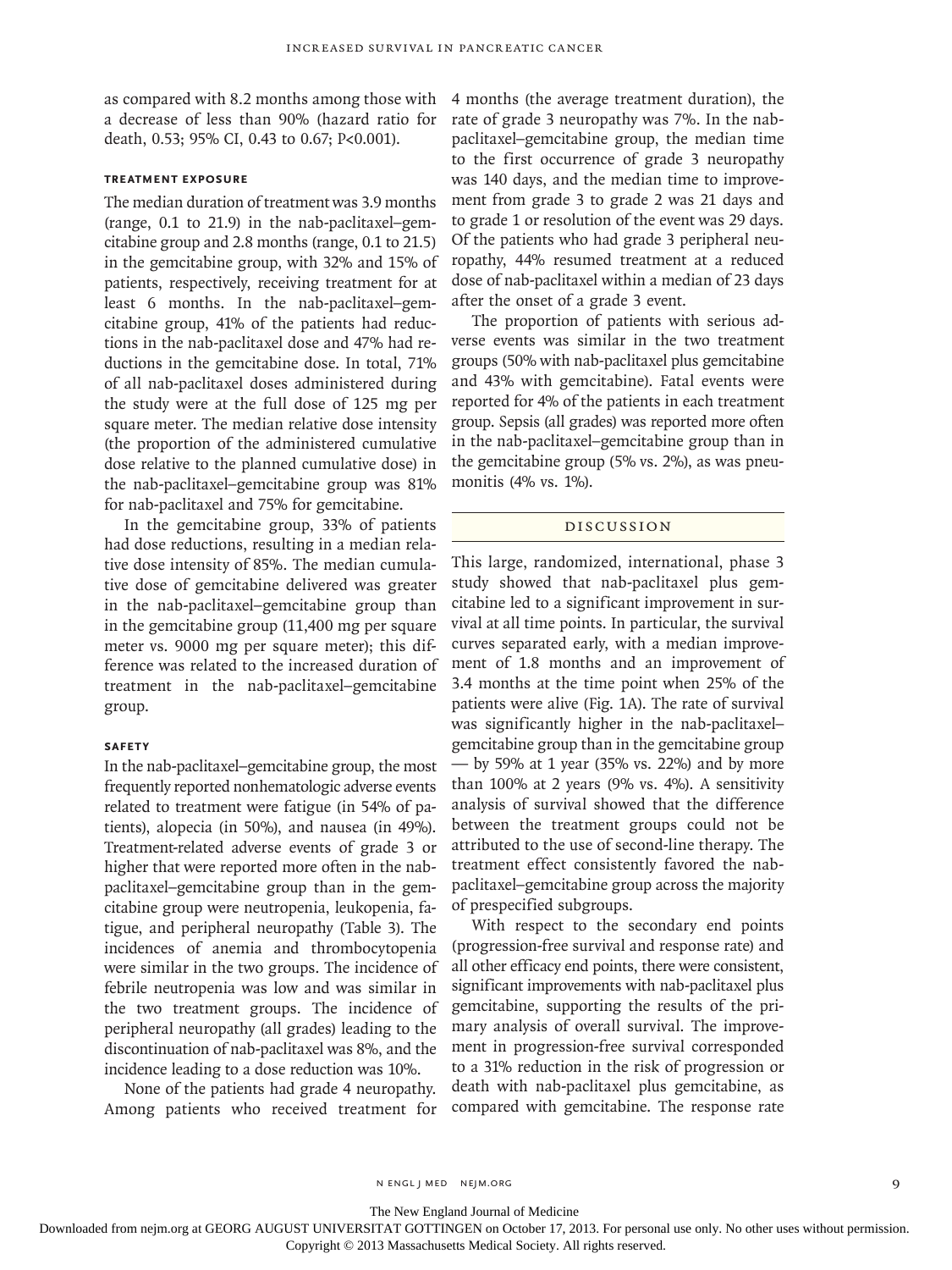as compared with 8.2 months among those with a decrease of less than 90% (hazard ratio for death, 0.53; 95% CI, 0.43 to 0.67; P<0.001).

## **TREATMENT EXPOSURE**

The median duration of treatment was 3.9 months (range, 0.1 to 21.9) in the nab-paclitaxel–gemcitabine group and 2.8 months (range, 0.1 to 21.5) in the gemcitabine group, with 32% and 15% of patients, respectively, receiving treatment for at least 6 months. In the nab-paclitaxel–gemcitabine group, 41% of the patients had reductions in the nab-paclitaxel dose and 47% had reductions in the gemcitabine dose. In total, 71% of all nab-paclitaxel doses administered during the study were at the full dose of 125 mg per square meter. The median relative dose intensity (the proportion of the administered cumulative dose relative to the planned cumulative dose) in the nab-paclitaxel–gemcitabine group was 81% for nab-paclitaxel and 75% for gemcitabine.

In the gemcitabine group, 33% of patients had dose reductions, resulting in a median relative dose intensity of 85%. The median cumulative dose of gemcitabine delivered was greater in the nab-paclitaxel–gemcitabine group than in the gemcitabine group (11,400 mg per square meter vs. 9000 mg per square meter); this difference was related to the increased duration of treatment in the nab-paclitaxel–gemcitabine group.

### **SAFETY**

In the nab-paclitaxel–gemcitabine group, the most frequently reported nonhematologic adverse events related to treatment were fatigue (in 54% of patients), alopecia (in 50%), and nausea (in 49%). Treatment-related adverse events of grade 3 or higher that were reported more often in the nabpaclitaxel–gemcitabine group than in the gemcitabine group were neutropenia, leukopenia, fatigue, and peripheral neuropathy (Table 3). The incidences of anemia and thrombocytopenia were similar in the two groups. The incidence of febrile neutropenia was low and was similar in the two treatment groups. The incidence of peripheral neuropathy (all grades) leading to the discontinuation of nab-paclitaxel was 8%, and the incidence leading to a dose reduction was 10%.

None of the patients had grade 4 neuropathy. Among patients who received treatment for 4 months (the average treatment duration), the rate of grade 3 neuropathy was 7%. In the nabpaclitaxel–gemcitabine group, the median time to the first occurrence of grade 3 neuropathy was 140 days, and the median time to improvement from grade 3 to grade 2 was 21 days and to grade 1 or resolution of the event was 29 days. Of the patients who had grade 3 peripheral neuropathy, 44% resumed treatment at a reduced dose of nab-paclitaxel within a median of 23 days after the onset of a grade 3 event.

The proportion of patients with serious adverse events was similar in the two treatment groups (50% with nab-paclitaxel plus gemcitabine and 43% with gemcitabine). Fatal events were reported for 4% of the patients in each treatment group. Sepsis (all grades) was reported more often in the nab-paclitaxel–gemcitabine group than in the gemcitabine group (5% vs. 2%), as was pneumonitis (4% vs. 1%).

## DISCUSSION

This large, randomized, international, phase 3 study showed that nab-paclitaxel plus gemcitabine led to a significant improvement in survival at all time points. In particular, the survival curves separated early, with a median improvement of 1.8 months and an improvement of 3.4 months at the time point when 25% of the patients were alive (Fig. 1A). The rate of survival was significantly higher in the nab-paclitaxel– gemcitabine group than in the gemcitabine group — by 59% at 1 year (35% vs. 22%) and by more than 100% at 2 years (9% vs. 4%). A sensitivity analysis of survival showed that the difference between the treatment groups could not be attributed to the use of second-line therapy. The treatment effect consistently favored the nabpaclitaxel–gemcitabine group across the majority of prespecified subgroups.

With respect to the secondary end points (progression-free survival and response rate) and all other efficacy end points, there were consistent, significant improvements with nab-paclitaxel plus gemcitabine, supporting the results of the primary analysis of overall survival. The improvement in progression-free survival corresponded to a 31% reduction in the risk of progression or death with nab-paclitaxel plus gemcitabine, as compared with gemcitabine. The response rate

n engl j med nejm.org 9

The New England Journal of Medicine

Downloaded from nejm.org at GEORG AUGUST UNIVERSITAT GOTTINGEN on October 17, 2013. For personal use only. No other uses without permission.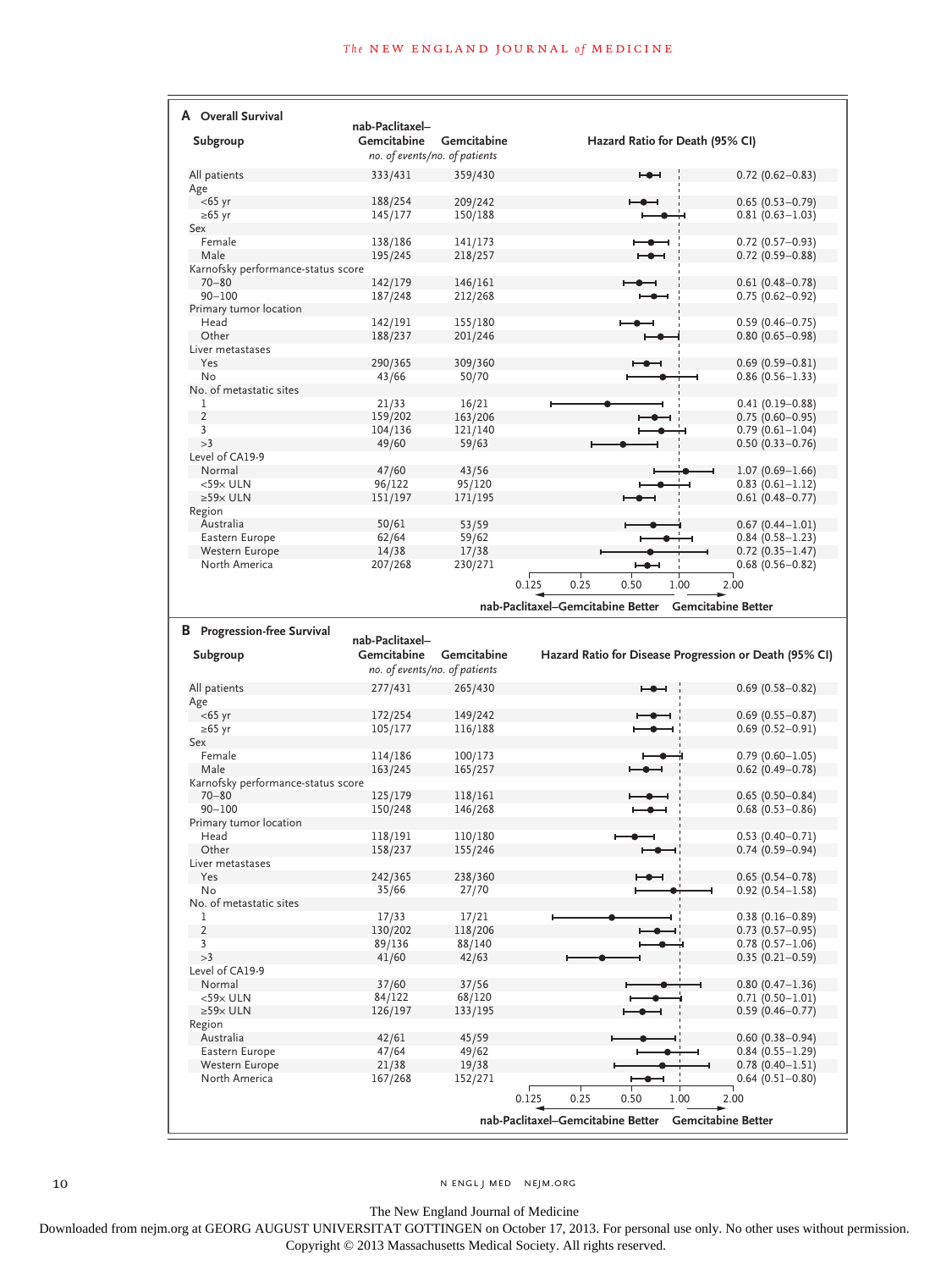| A Overall Survival                 |                                |                    |                                                                |                                            |
|------------------------------------|--------------------------------|--------------------|----------------------------------------------------------------|--------------------------------------------|
| Subgroup                           | nab-Paclitaxel-<br>Gemcitabine | Gemcitabine        | Hazard Ratio for Death (95% CI)                                |                                            |
|                                    | no. of events/no. of patients  |                    |                                                                |                                            |
| All patients                       | 333/431                        | 359/430            | ⊷                                                              | $0.72$ (0.62-0.83)                         |
| Age                                |                                |                    |                                                                |                                            |
| $<$ 65 yr                          | 188/254                        | 209/242            |                                                                | $0.65(0.53 - 0.79)$                        |
| $≥65$ yr                           | 145/177                        | 150/188            |                                                                | $0.81(0.63 - 1.03)$                        |
| Sex                                |                                |                    |                                                                |                                            |
| Female<br>Male                     | 138/186                        | 141/173            |                                                                | $0.72$ (0.57-0.93)                         |
| Karnofsky performance-status score | 195/245                        | 218/257            |                                                                | $0.72(0.59 - 0.88)$                        |
| $70 - 80$                          | 142/179                        | 146/161            |                                                                | $0.61(0.48 - 0.78)$                        |
| $90 - 100$                         | 187/248                        | 212/268            |                                                                | $0.75(0.62 - 0.92)$                        |
| Primary tumor location             |                                |                    |                                                                |                                            |
| Head                               | 142/191                        | 155/180            |                                                                | $0.59(0.46 - 0.75)$                        |
| Other                              | 188/237                        | 201/246            |                                                                | $0.80(0.65 - 0.98)$                        |
| Liver metastases<br>Yes            |                                |                    |                                                                |                                            |
| No                                 | 290/365<br>43/66               | 309/360<br>50/70   |                                                                | $0.69(0.59 - 0.81)$<br>$0.86(0.56 - 1.33)$ |
| No. of metastatic sites            |                                |                    |                                                                |                                            |
| 1                                  | 21/33                          | 16/21              |                                                                | $0.41(0.19 - 0.88)$                        |
| $\overline{2}$                     | 159/202                        | 163/206            |                                                                | $0.75(0.60 - 0.95)$                        |
| 3                                  | 104/136                        | 121/140            |                                                                | $0.79(0.61 - 1.04)$                        |
| >3                                 | 49/60                          | 59/63              |                                                                | $0.50(0.33 - 0.76)$                        |
| Level of CA19-9                    |                                |                    |                                                                |                                            |
| Normal<br>$<$ 59 $\times$ ULN      | 47/60                          | 43/56              |                                                                | $1.07(0.69 - 1.66)$                        |
| $\geq$ 59 $\times$ ULN             | 96/122<br>151/197              | 95/120<br>171/195  |                                                                | $0.83(0.61 - 1.12)$<br>$0.61(0.48 - 0.77)$ |
| Region                             |                                |                    |                                                                |                                            |
| Australia                          | 50/61                          | 53/59              |                                                                | $0.67(0.44 - 1.01)$                        |
| Eastern Europe                     | 62/64                          | 59/62              |                                                                | $0.84(0.58 - 1.23)$                        |
| Western Europe                     | 14/38                          | 17/38              |                                                                | $0.72(0.35 - 1.47)$                        |
| North America                      | 207/268                        | 230/271            |                                                                | $0.68$ (0.56-0.82)                         |
|                                    |                                |                    | 0.25<br>0.125<br>0.50<br>1.00                                  | 2.00                                       |
|                                    |                                |                    | nab-Paclitaxel-Gemcitabine Better<br><b>Gemcitabine Better</b> |                                            |
|                                    |                                |                    |                                                                |                                            |
|                                    |                                |                    |                                                                |                                            |
| <b>B</b> Progression-free Survival |                                |                    |                                                                |                                            |
|                                    | nab-Paclitaxel-                |                    |                                                                |                                            |
| Subgroup                           | Gemcitabine                    | Gemcitabine        | Hazard Ratio for Disease Progression or Death (95% CI)         |                                            |
|                                    | no. of events/no. of patients  |                    |                                                                |                                            |
| All patients                       | 277/431                        | 265/430            | ⊷                                                              | $0.69$ (0.58-0.82)                         |
| Age                                |                                |                    |                                                                |                                            |
| $<$ 65 yr                          | 172/254                        | 149/242            |                                                                | $0.69$ (0.55-0.87)                         |
| ≥65 yr<br>Sex                      | 105/177                        | 116/188            |                                                                | $0.69(0.52 - 0.91)$                        |
| Female                             | 114/186                        | 100/173            |                                                                | $0.79(0.60 - 1.05)$                        |
| Male                               | 163/245                        | 165/257            |                                                                | $0.62$ (0.49-0.78)                         |
| Karnofsky performance-status score |                                |                    |                                                                |                                            |
| $70 - 80$                          | 125/179                        | 118/161            |                                                                | $0.65(0.50 - 0.84)$                        |
| $90 - 100$                         | 150/248                        | 146/268            |                                                                | $0.68$ (0.53-0.86)                         |
| Primary tumor location             |                                |                    |                                                                |                                            |
| Head<br>Other                      | 118/191                        | 110/180<br>155/246 |                                                                | $0.53(0.40-0.71)$                          |
| Liver metastases                   | 158/237                        |                    |                                                                | $0.74(0.59 - 0.94)$                        |
| Yes                                | 242/365                        | 238/360            |                                                                | $0.65(0.54 - 0.78)$                        |
| No                                 | 35/66                          | 27/70              |                                                                | $0.92(0.54 - 1.58)$                        |
| No. of metastatic sites            |                                |                    |                                                                |                                            |
| 1                                  | 17/33                          | 17/21              |                                                                | $0.38(0.16 - 0.89)$                        |
| $\overline{2}$                     | 130/202                        | 118/206            |                                                                | $0.73$ $(0.57 - 0.95)$                     |
| $\overline{3}$                     | 89/136                         | 88/140             |                                                                | $0.78(0.57 - 1.06)$                        |
| >3<br>Level of CA19-9              | 41/60                          | 42/63              |                                                                | $0.35(0.21 - 0.59)$                        |
| Normal                             | 37/60                          | 37/56              |                                                                | $0.80(0.47 - 1.36)$                        |
| $<$ 59 $\times$ ULN                | 84/122                         | 68/120             |                                                                | 0.71 (0.50-1.01)                           |
| $\geq$ 59 $\times$ ULN             | 126/197                        | 133/195            |                                                                | $0.59(0.46 - 0.77)$                        |
| Region                             |                                |                    |                                                                |                                            |
| Australia                          | 42/61                          | 45/59              |                                                                | $0.60(0.38 - 0.94)$                        |
| Eastern Europe                     | 47/64                          | 49/62              |                                                                | $0.84(0.55 - 1.29)$                        |
| Western Europe                     | 21/38                          | 19/38              |                                                                | $0.78(0.40 - 1.51)$                        |
| North America                      | 167/268                        | 152/271            |                                                                | $0.64$ (0.51-0.80)                         |
|                                    |                                |                    | 0.25<br>0.125<br>1.00<br>0.50                                  | 2.00                                       |
|                                    |                                |                    | nab-Paclitaxel-Gemcitabine Better Gemcitabine Better           |                                            |

10 NENGL J MED NEJM.ORG

The New England Journal of Medicine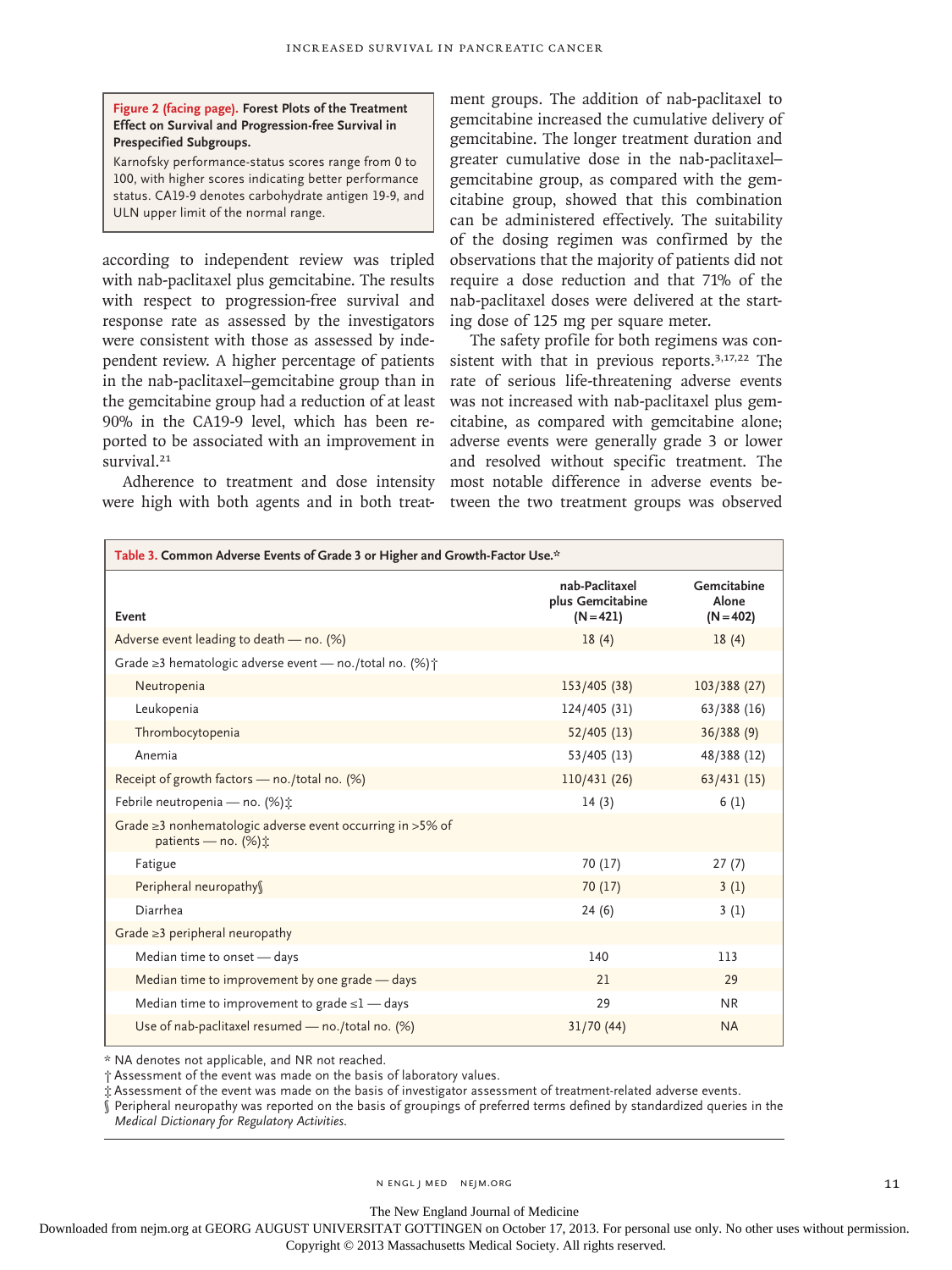## **Figure 2 (facing page). Forest Plots of the Treatment Effect on Survival and Progression-free Survival in Prespecified Subgroups.**

Karnofsky performance-status scores range from 0 to 100, with higher scores indicating better performance status. CA19-9 denotes carbohydrate antigen 19-9, and ULN upper limit of the normal range.

according to independent review was tripled with nab-paclitaxel plus gemcitabine. The results with respect to progression-free survival and response rate as assessed by the investigators were consistent with those as assessed by independent review. A higher percentage of patients in the nab-paclitaxel–gemcitabine group than in the gemcitabine group had a reduction of at least 90% in the CA19-9 level, which has been reported to be associated with an improvement in survival.<sup>21</sup>

Adherence to treatment and dose intensity were high with both agents and in both treat-

ment groups. The addition of nab-paclitaxel to gemcitabine increased the cumulative delivery of gemcitabine. The longer treatment duration and greater cumulative dose in the nab-paclitaxel– gemcitabine group, as compared with the gemcitabine group, showed that this combination can be administered effectively. The suitability of the dosing regimen was confirmed by the observations that the majority of patients did not require a dose reduction and that 71% of the nab-paclitaxel doses were delivered at the starting dose of 125 mg per square meter.

The safety profile for both regimens was consistent with that in previous reports.3,17,22 The rate of serious life-threatening adverse events was not increased with nab-paclitaxel plus gemcitabine, as compared with gemcitabine alone; adverse events were generally grade 3 or lower and resolved without specific treatment. The most notable difference in adverse events between the two treatment groups was observed

| Table 3. Common Adverse Events of Grade 3 or Higher and Growth-Factor Use.*                               |                                                   |                                     |  |  |
|-----------------------------------------------------------------------------------------------------------|---------------------------------------------------|-------------------------------------|--|--|
| Event                                                                                                     | nab-Paclitaxel<br>plus Gemcitabine<br>$(N = 421)$ | Gemcitabine<br>Alone<br>$(N = 402)$ |  |  |
| Adverse event leading to death - no. (%)                                                                  | 18(4)                                             | 18(4)                               |  |  |
| Grade $\geq$ 3 hematologic adverse event — no./total no. (%) $\uparrow$                                   |                                                   |                                     |  |  |
| Neutropenia                                                                                               | 153/405 (38)                                      | 103/388 (27)                        |  |  |
| Leukopenia                                                                                                | 124/405 (31)                                      | 63/388 (16)                         |  |  |
| Thrombocytopenia                                                                                          | 52/405(13)                                        | 36/388(9)                           |  |  |
| Anemia                                                                                                    | 53/405 (13)                                       | 48/388 (12)                         |  |  |
| Receipt of growth factors - no./total no. (%)                                                             | 110/431(26)                                       | 63/431(15)                          |  |  |
| Febrile neutropenia - no. (%) ±                                                                           | 14(3)                                             | 6(1)                                |  |  |
| Grade $\geq$ 3 nonhematologic adverse event occurring in $>$ 5% of<br>patients — no. $(\%)\dot{\uparrow}$ |                                                   |                                     |  |  |
| Fatigue                                                                                                   | 70 (17)                                           | 27(7)                               |  |  |
| Peripheral neuropathy                                                                                     | 70(17)                                            | 3(1)                                |  |  |
| Diarrhea                                                                                                  | 24(6)                                             | 3(1)                                |  |  |
| Grade $\geq$ 3 peripheral neuropathy                                                                      |                                                   |                                     |  |  |
| Median time to onset - days                                                                               | 140                                               | 113                                 |  |  |
| Median time to improvement by one grade - days                                                            | 21                                                | 29                                  |  |  |
| Median time to improvement to grade $\leq$ 1 — days                                                       | 29                                                | <b>NR</b>                           |  |  |
| Use of nab-paclitaxel resumed - no./total no. (%)                                                         | 31/70 (44)                                        | <b>NA</b>                           |  |  |

\* NA denotes not applicable, and NR not reached.

† Assessment of the event was made on the basis of laboratory values.

‡ Assessment of the event was made on the basis of investigator assessment of treatment-related adverse events.

 $\hat{\S}$  Peripheral neuropathy was reported on the basis of groupings of preferred terms defined by standardized queries in the *Medical Dictionary for Regulatory Activities*.

The New England Journal of Medicine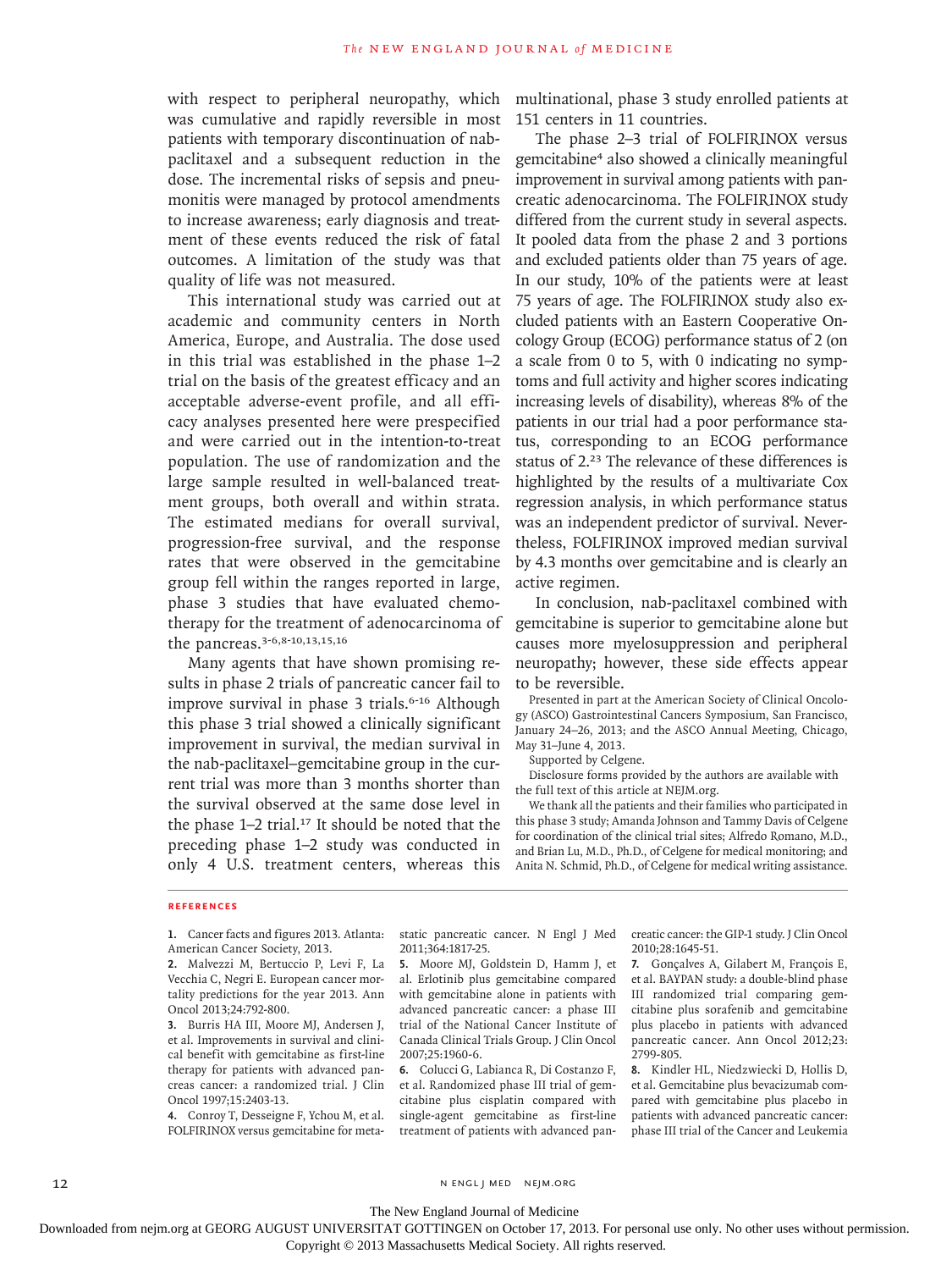with respect to peripheral neuropathy, which multinational, phase 3 study enrolled patients at was cumulative and rapidly reversible in most patients with temporary discontinuation of nabpaclitaxel and a subsequent reduction in the dose. The incremental risks of sepsis and pneumonitis were managed by protocol amendments to increase awareness; early diagnosis and treatment of these events reduced the risk of fatal outcomes. A limitation of the study was that quality of life was not measured.

This international study was carried out at academic and community centers in North America, Europe, and Australia. The dose used in this trial was established in the phase 1–2 trial on the basis of the greatest efficacy and an acceptable adverse-event profile, and all efficacy analyses presented here were prespecified and were carried out in the intention-to-treat population. The use of randomization and the large sample resulted in well-balanced treatment groups, both overall and within strata. The estimated medians for overall survival, progression-free survival, and the response rates that were observed in the gemcitabine group fell within the ranges reported in large, phase 3 studies that have evaluated chemotherapy for the treatment of adenocarcinoma of the pancreas.3-6,8-10,13,15,16

Many agents that have shown promising results in phase 2 trials of pancreatic cancer fail to improve survival in phase 3 trials.<sup>6-16</sup> Although this phase 3 trial showed a clinically significant improvement in survival, the median survival in the nab-paclitaxel–gemcitabine group in the current trial was more than 3 months shorter than the survival observed at the same dose level in the phase  $1-2$  trial.<sup>17</sup> It should be noted that the preceding phase 1–2 study was conducted in only 4 U.S. treatment centers, whereas this

151 centers in 11 countries.

The phase 2–3 trial of FOLFIRINOX versus gemcitabine4 also showed a clinically meaningful improvement in survival among patients with pancreatic adenocarcinoma. The FOLFIRINOX study differed from the current study in several aspects. It pooled data from the phase 2 and 3 portions and excluded patients older than 75 years of age. In our study, 10% of the patients were at least 75 years of age. The FOLFIRINOX study also excluded patients with an Eastern Cooperative Oncology Group (ECOG) performance status of 2 (on a scale from 0 to 5, with 0 indicating no symptoms and full activity and higher scores indicating increasing levels of disability), whereas 8% of the patients in our trial had a poor performance status, corresponding to an ECOG performance status of 2.23 The relevance of these differences is highlighted by the results of a multivariate Cox regression analysis, in which performance status was an independent predictor of survival. Nevertheless, FOLFIRINOX improved median survival by 4.3 months over gemcitabine and is clearly an active regimen.

In conclusion, nab-paclitaxel combined with gemcitabine is superior to gemcitabine alone but causes more myelosuppression and peripheral neuropathy; however, these side effects appear to be reversible.

Presented in part at the American Society of Clinical Oncology (ASCO) Gastrointestinal Cancers Symposium, San Francisco, January 24–26, 2013; and the ASCO Annual Meeting, Chicago, May 31–June 4, 2013.

Supported by Celgene.

Disclosure forms provided by the authors are available with the full text of this article at NEJM.org.

We thank all the patients and their families who participated in this phase 3 study; Amanda Johnson and Tammy Davis of Celgene for coordination of the clinical trial sites; Alfredo Romano, M.D., and Brian Lu, M.D., Ph.D., of Celgene for medical monitoring; and Anita N. Schmid, Ph.D., of Celgene for medical writing assistance.

#### **References**

**1.** Cancer facts and figures 2013. Atlanta: American Cancer Society, 2013.

**2.** Malvezzi M, Bertuccio P, Levi F, La Vecchia C, Negri E. European cancer mortality predictions for the year 2013. Ann Oncol 2013;24:792-800.

**3.** Burris HA III, Moore MJ, Andersen J, et al. Improvements in survival and clinical benefit with gemcitabine as first-line therapy for patients with advanced pancreas cancer: a randomized trial. J Clin Oncol 1997;15:2403-13.

**4.** Conroy T, Desseigne F, Ychou M, et al. FOLFIRINOX versus gemcitabine for metastatic pancreatic cancer. N Engl J Med 2011;364:1817-25.

**5.** Moore MJ, Goldstein D, Hamm J, et al. Erlotinib plus gemcitabine compared with gemcitabine alone in patients with advanced pancreatic cancer: a phase III trial of the National Cancer Institute of Canada Clinical Trials Group. J Clin Oncol 2007;25:1960-6.

**6.** Colucci G, Labianca R, Di Costanzo F, et al. Randomized phase III trial of gemcitabine plus cisplatin compared with single-agent gemcitabine as first-line treatment of patients with advanced pancreatic cancer: the GIP-1 study. J Clin Oncol 2010;28:1645-51.

**7.** Gonçalves A, Gilabert M, François E, et al. BAYPAN study: a double-blind phase III randomized trial comparing gemcitabine plus sorafenib and gemcitabine plus placebo in patients with advanced pancreatic cancer. Ann Oncol 2012;23: 2799-805.

**8.** Kindler HL, Niedzwiecki D, Hollis D, et al. Gemcitabine plus bevacizumab compared with gemcitabine plus placebo in patients with advanced pancreatic cancer: phase III trial of the Cancer and Leukemia

#### 12 N ENGL J MED NEJM.ORG

The New England Journal of Medicine

Downloaded from nejm.org at GEORG AUGUST UNIVERSITAT GOTTINGEN on October 17, 2013. For personal use only. No other uses without permission.